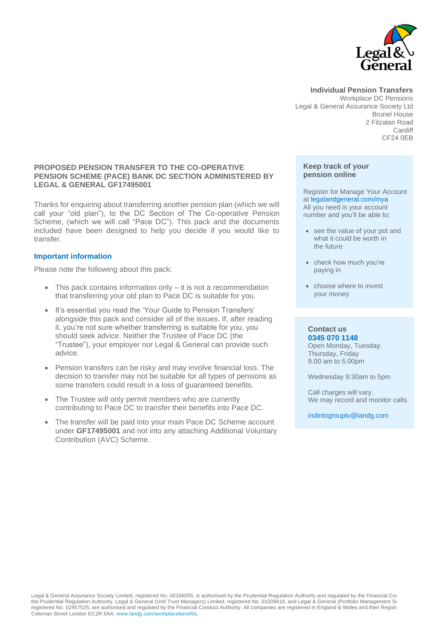

**Individual Pension Transfers** Workplace DC Pensions Legal & General Assurance Society Ltd Brunel House 2 Fitzalan Road **Cardiff** CF24 0EB

#### **PROPOSED PENSION TRANSFER TO THE CO-OPERATIVE PENSION SCHEME (PACE) BANK DC SECTION ADMINISTERED BY LEGAL & GENERAL GF17495001**

Thanks for enquiring about transferring another pension plan (which we will call your "old plan"), to the DC Section of The Co-operative Pension Scheme, (which we will call "Pace DC"). This pack and the documents included have been designed to help you decide if you would like to transfer.

### **Important information**

Please note the following about this pack:

- This pack contains information only it is not a recommendation that transferring your old plan to Pace DC is suitable for you.
- It's essential you read the 'Your Guide to Pension Transfers' alongside this pack and consider all of the issues. If, after reading it, you're not sure whether transferring is suitable for you, you should seek advice. Neither the Trustee of Pace DC (the "Trustee"), your employer nor Legal & General can provide such advice.
- Pension transfers can be risky and may involve financial loss. The decision to transfer may not be suitable for all types of pensions as some transfers could result in a loss of guaranteed benefits.
- The Trustee will only permit members who are currently contributing to Pace DC to transfer their benefits into Pace DC.
- The transfer will be paid into your main Pace DC Scheme account under **GF17495001** and not into any attaching Additional Voluntary Contribution (AVC) Scheme.

#### **Keep track of your pension online**

Register for Manage Your Account at legalandgeneral.com/mya All you need is your account number and you'll be able to:

- see the value of your pot and what it could be worth in the future
- check how much you're paying in
- choose where to invest your money

#### **Contact us 0345 070 1148**

Open Monday, Tuesday, Thursday, Friday 9.00 am to 5.00pm

Wednesday 9:30am to 5pm

Call charges will vary. We may record and monitor calls.

indintogrouptv@landg.com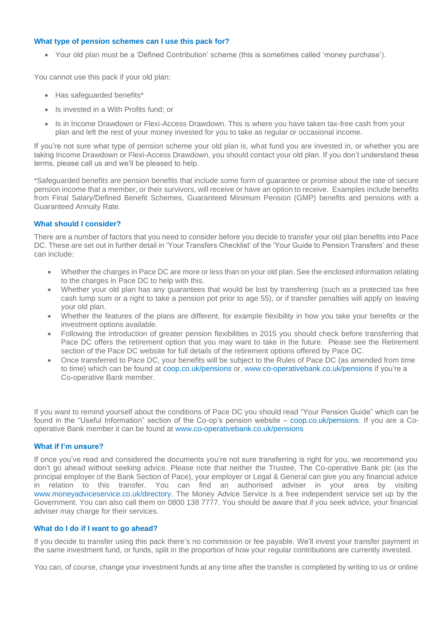### **What type of pension schemes can I use this pack for?**

• Your old plan must be a 'Defined Contribution' scheme (this is sometimes called 'money purchase').

You cannot use this pack if your old plan:

- Has safeguarded benefits\*
- Is invested in a With Profits fund; or
- Is in Income Drawdown or Flexi-Access Drawdown. This is where you have taken tax-free cash from your plan and left the rest of your money invested for you to take as regular or occasional income.

If you're not sure what type of pension scheme your old plan is, what fund you are invested in, or whether you are taking Income Drawdown or Flexi-Access Drawdown, you should contact your old plan. If you don't understand these terms, please call us and we'll be pleased to help.

\*Safeguarded benefits are pension benefits that include some form of guarantee or promise about the rate of secure pension income that a member, or their survivors, will receive or have an option to receive. Examples include benefits from Final Salary/Defined Benefit Schemes, Guaranteed Minimum Pension (GMP) benefits and pensions with a Guaranteed Annuity Rate.

# **What should I consider?**

There are a number of factors that you need to consider before you decide to transfer your old plan benefits into Pace DC. These are set out in further detail in 'Your Transfers Checklist' of the 'Your Guide to Pension Transfers' and these can include:

- Whether the charges in Pace DC are more or less than on your old plan. See the enclosed information relating to the charges in Pace DC to help with this.
- Whether your old plan has any guarantees that would be lost by transferring (such as a protected tax free cash lump sum or a right to take a pension pot prior to age 55), or if transfer penalties will apply on leaving your old plan.
- Whether the features of the plans are different, for example flexibility in how you take your benefits or the investment options available.
- Following the introduction of greater pension flexibilities in 2015 you should check before transferring that Pace DC offers the retirement option that you may want to take in the future. Please see the Retirement section of the Pace DC website for full details of the retirement options offered by Pace DC.
- Once transferred to Pace DC, your benefits will be subject to the Rules of Pace DC (as amended from time to time) which can be found at [coop.co.uk/pensions](https://coop.pacepensions.co.uk/) or, www[.co-operativebank.co.uk/pensions](https://bank.pacepensions.co.uk/) if you're a Co-operative Bank member.

If you want to remind yourself about the conditions of Pace DC you should read "Your Pension Guide" which can be found in the "Useful Information" section of the Co-op's pension website – [coop.co.uk/pensions.](http://coop.co.uk/pensions) If you are a Cooperative Bank member it can be found at www[.co-operativebank.co.uk/pensions](https://bank.pacepensions.co.uk/)

# **What if I'm unsure?**

If once you've read and considered the documents you're not sure transferring is right for you, we recommend you don't go ahead without seeking advice. Please note that neither the Trustee, The Co-operative Bank plc (as the principal employer of the Bank Section of Pace), your employer or Legal & General can give you any financial advice in relation to this transfer. You can find an authorised adviser in your area by visiting [www.moneyadviceservice.co.uk/directory.](http://www.moneyadviceservice.co.uk/directory) The Money Advice Service is a free independent service set up by the Government. You can also call them on 0800 138 7777. You should be aware that if you seek advice, your financial adviser may charge for their services.

# **What do I do if I want to go ahead?**

If you decide to transfer using this pack there's no commission or fee payable. We'll invest your transfer payment in the same investment fund, or funds, split in the proportion of how your regular contributions are currently invested.

You can, of course, change your investment funds at any time after the transfer is completed by writing to us or online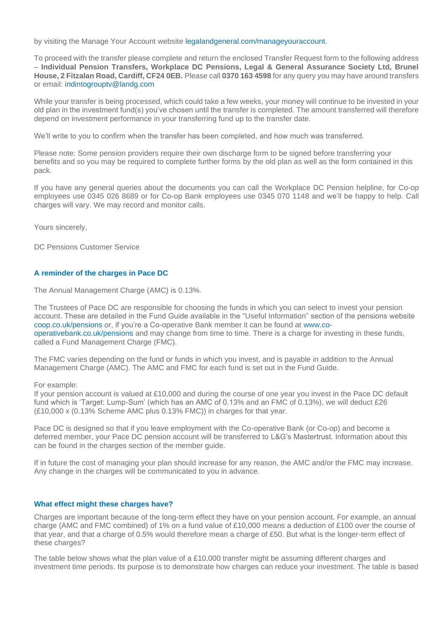by visiting the Manage Your Account website [legalandgeneral.com/manageyouraccount.](http://www.legalandgeneral.com/manageyouraccount)

To proceed with the transfer please complete and return the enclosed Transfer Request form to the following address – **Individual Pension Transfers, Workplace DC Pensions, Legal & General Assurance Society Ltd, Brunel House, 2 Fitzalan Road, Cardiff, CF24 0EB.** Please call **0370 163 4598** for any query you may have around transfers or email: [indintogrouptv@landg.com](mailto:indintogrouptv@landg.com)

While your transfer is being processed, which could take a few weeks, your money will continue to be invested in your old plan in the investment fund(s) you've chosen until the transfer is completed. The amount transferred will therefore depend on investment performance in your transferring fund up to the transfer date.

We'll write to you to confirm when the transfer has been completed, and how much was transferred.

Please note: Some pension providers require their own discharge form to be signed before transferring your benefits and so you may be required to complete further forms by the old plan as well as the form contained in this pack.

If you have any general queries about the documents you can call the Workplace DC Pension helpline, for Co-op employees use 0345 026 8689 or for Co-op Bank employees use 0345 070 1148 and we'll be happy to help. Call charges will vary. We may record and monitor calls.

Yours sincerely,

DC Pensions Customer Service

### **A reminder of the charges in Pace DC**

The Annual Management Charge (AMC) is 0.13%.

The Trustees of Pace DC are responsible for choosing the funds in which you can select to invest your pension account. These are detailed in the Fund Guide available in the "Useful Information" section of the pensions website [coop.co.uk/pensions](https://coop.pacepensions.co.uk/) or, if you're a Co-operative Bank member it can be found at www[.co](https://bank.pacepensions.co.uk/)[operativebank.co.uk/pensions](https://bank.pacepensions.co.uk/) and may change from time to time. There is a charge for investing in these funds, called a Fund Management Charge (FMC).

The FMC varies depending on the fund or funds in which you invest, and is payable in addition to the Annual Management Charge (AMC). The AMC and FMC for each fund is set out in the Fund Guide.

For example:

If your pension account is valued at £10,000 and during the course of one year you invest in the Pace DC default fund which is 'Target: Lump-Sum' (which has an AMC of 0.13% and an FMC of 0.13%), we will deduct £26 (£10,000 x (0.13% Scheme AMC plus 0.13% FMC)) in charges for that year.

Pace DC is designed so that if you leave employment with the Co-operative Bank (or Co-op) and become a deferred member, your Pace DC pension account will be transferred to L&G's Mastertrust. Information about this can be found in the charges section of the member guide.

If in future the cost of managing your plan should increase for any reason, the AMC and/or the FMC may increase. Any change in the charges will be communicated to you in advance.

#### **What effect might these charges have?**

Charges are important because of the long-term effect they have on your pension account. For example, an annual charge (AMC and FMC combined) of 1% on a fund value of £10,000 means a deduction of £100 over the course of that year, and that a charge of 0.5% would therefore mean a charge of £50. But what is the longer-term effect of these charges?

The table below shows what the plan value of a £10,000 transfer might be assuming different charges and investment time periods. Its purpose is to demonstrate how charges can reduce your investment. The table is based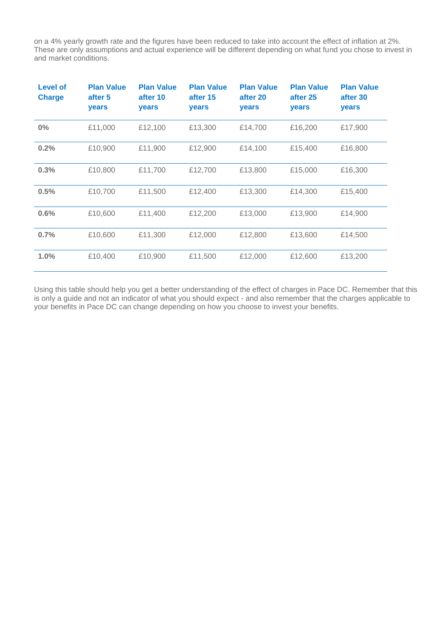on a 4% yearly growth rate and the figures have been reduced to take into account the effect of inflation at 2%. These are only assumptions and actual experience will be different depending on what fund you chose to invest in and market conditions.

| <b>Level of</b><br><b>Charge</b> | <b>Plan Value</b><br>after 5<br>years | <b>Plan Value</b><br>after 10<br>years | <b>Plan Value</b><br>after 15<br>years | <b>Plan Value</b><br>after 20<br>years | <b>Plan Value</b><br>after 25<br>years | <b>Plan Value</b><br>after 30<br>years |
|----------------------------------|---------------------------------------|----------------------------------------|----------------------------------------|----------------------------------------|----------------------------------------|----------------------------------------|
| $0\%$                            | £11,000                               | £12,100                                | £13,300                                | £14,700                                | £16,200                                | £17,900                                |
| 0.2%                             | £10,900                               | £11,900                                | £12,900                                | £14,100                                | £15,400                                | £16,800                                |
| 0.3%                             | £10,800                               | £11,700                                | £12,700                                | £13,800                                | £15,000                                | £16,300                                |
| 0.5%                             | £10,700                               | £11,500                                | £12,400                                | £13,300                                | £14,300                                | £15,400                                |
| 0.6%                             | £10,600                               | £11,400                                | £12,200                                | £13,000                                | £13,900                                | £14,900                                |
| 0.7%                             | £10,600                               | £11,300                                | £12,000                                | £12,800                                | £13,600                                | £14,500                                |
| 1.0%                             | £10,400                               | £10,900                                | £11,500                                | £12,000                                | £12,600                                | £13,200                                |

Using this table should help you get a better understanding of the effect of charges in Pace DC. Remember that this is only a guide and not an indicator of what you should expect - and also remember that the charges applicable to your benefits in Pace DC can change depending on how you choose to invest your benefits.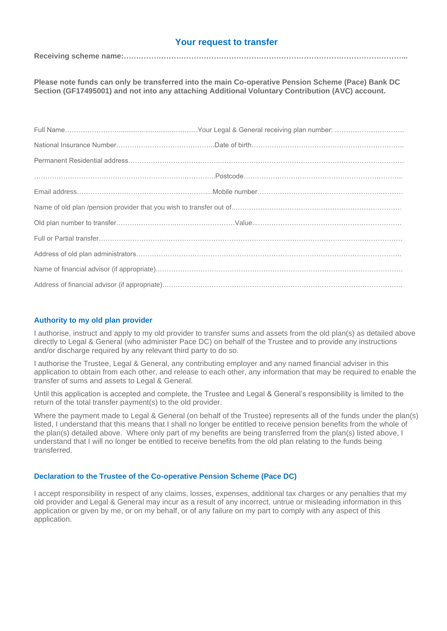# **Your request to transfer**

**Receiving scheme name:…………………………………………………………………………………………………...**

**Please note funds can only be transferred into the main Co-operative Pension Scheme (Pace) Bank DC Section (GF17495001) and not into any attaching Additional Voluntary Contribution (AVC) account.**

## **Authority to my old plan provider**

I authorise, instruct and apply to my old provider to transfer sums and assets from the old plan(s) as detailed above directly to Legal & General (who administer Pace DC) on behalf of the Trustee and to provide any instructions and/or discharge required by any relevant third party to do so.

I authorise the Trustee, Legal & General, any contributing employer and any named financial adviser in this application to obtain from each other, and release to each other, any information that may be required to enable the transfer of sums and assets to Legal & General.

Until this application is accepted and complete, the Trustee and Legal & General's responsibility is limited to the return of the total transfer payment(s) to the old provider.

Where the payment made to Legal & General (on behalf of the Trustee) represents all of the funds under the plan(s) listed, I understand that this means that I shall no longer be entitled to receive pension benefits from the whole of the plan(s) detailed above. Where only part of my benefits are being transferred from the plan(s) listed above, I understand that I will no longer be entitled to receive benefits from the old plan relating to the funds being transferred.

#### **Declaration to the Trustee of the Co-operative Pension Scheme (Pace DC)**

I accept responsibility in respect of any claims, losses, expenses, additional tax charges or any penalties that my old provider and Legal & General may incur as a result of any incorrect, untrue or misleading information in this application or given by me, or on my behalf, or of any failure on my part to comply with any aspect of this application.